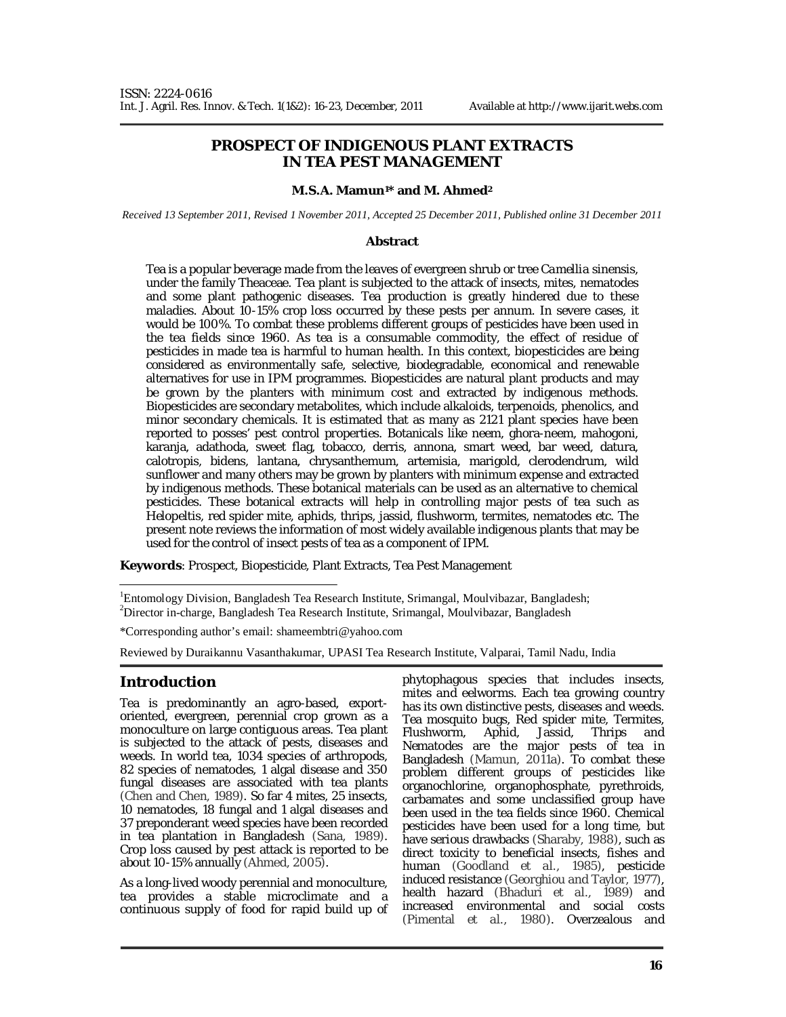# **PROSPECT OF INDIGENOUS PLANT EXTRACTS IN TEA PEST MANAGEMENT**

#### **M.S.A. Mamun1\* and M. Ahmed<sup>2</sup>**

*Received 13 September 2011, Revised 1 November 2011, Accepted 25 December 2011, Published online 31 December 2011* 

#### **Abstract**

Tea is a popular beverage made from the leaves of evergreen shrub or tree *Camellia sinensis*, under the family Theaceae. Tea plant is subjected to the attack of insects, mites, nematodes and some plant pathogenic diseases. Tea production is greatly hindered due to these maladies. About 10-15% crop loss occurred by these pests per annum. In severe cases, it would be 100%. To combat these problems different groups of pesticides have been used in the tea fields since 1960. As tea is a consumable commodity, the effect of residue of pesticides in made tea is harmful to human health. In this context, biopesticides are being considered as environmentally safe, selective, biodegradable, economical and renewable alternatives for use in IPM programmes. Biopesticides are natural plant products and may be grown by the planters with minimum cost and extracted by indigenous methods. Biopesticides are secondary metabolites, which include alkaloids, terpenoids, phenolics, and minor secondary chemicals. It is estimated that as many as 2121 plant species have been reported to posses' pest control properties. Botanicals like neem, ghora-neem, mahogoni, karanja, adathoda, sweet flag, tobacco, derris, annona, smart weed, bar weed, datura, calotropis, bidens, lantana, chrysanthemum, artemisia, marigold, clerodendrum, wild sunflower and many others may be grown by planters with minimum expense and extracted by indigenous methods. These botanical materials can be used as an alternative to chemical pesticides. These botanical extracts will help in controlling major pests of tea such as *Helopeltis,* red spider mite, aphids, thrips, jassid, flushworm, termites, nematodes etc. The present note reviews the information of most widely available indigenous plants that may be used for the control of insect pests of tea as a component of IPM.

**Keywords**: Prospect, Biopesticide, Plant Extracts, Tea Pest Management

<sup>1</sup>Entomology Division, Bangladesh Tea Research Institute, Srimangal, Moulvibazar, Bangladesh; <sup>2</sup>Director in-charge, Bangladesh Tea Research Institute, Srimangal, Moulvibazar, Bangladesh

\*Corresponding author's email: shameembtri@yahoo.com

Reviewed by Duraikannu Vasanthakumar, UPASI Tea Research Institute, Valparai, Tamil Nadu, India

### **Introduction**

Tea is predominantly an agro-based, exportoriented, evergreen, perennial crop grown as a monoculture on large contiguous areas. Tea plant is subjected to the attack of pests, diseases and weeds. In world tea, 1034 species of arthropods, 82 species of nematodes, 1 algal disease and 350 fungal diseases are associated with tea plants (Chen and Chen, 1989). So far 4 mites, 25 insects, 10 nematodes, 18 fungal and 1 algal diseases and 37 preponderant weed species have been recorded in tea plantation in Bangladesh (Sana, 1989). Crop loss caused by pest attack is reported to be about 10-15% annually (Ahmed, 2005).

As a long-lived woody perennial and monoculture, tea provides a stable microclimate and a continuous supply of food for rapid build up of phytophagous species that includes insects, mites and eelworms. Each tea growing country has its own distinctive pests, diseases and weeds. Tea mosquito bugs, Red spider mite, Termites,<br>Flushworm, Aphid, Jassid, Thrips and Jassid, Thrips and Nematodes are the major pests of tea in Bangladesh (Mamun, 2011a). To combat these problem different groups of pesticides like organochlorine, organophosphate, pyrethroids, carbamates and some unclassified group have been used in the tea fields since 1960. Chemical pesticides have been used for a long time, but have serious drawbacks (Sharaby, 1988), such as direct toxicity to beneficial insects, fishes and human (Goodland *et al.*, 1985), pesticide induced resistance (Georghiou and Taylor, 1977), health hazard (Bhaduri et al., 1989) and increased environmental and social costs (Pimental *et al.*, 1980). Overzealous and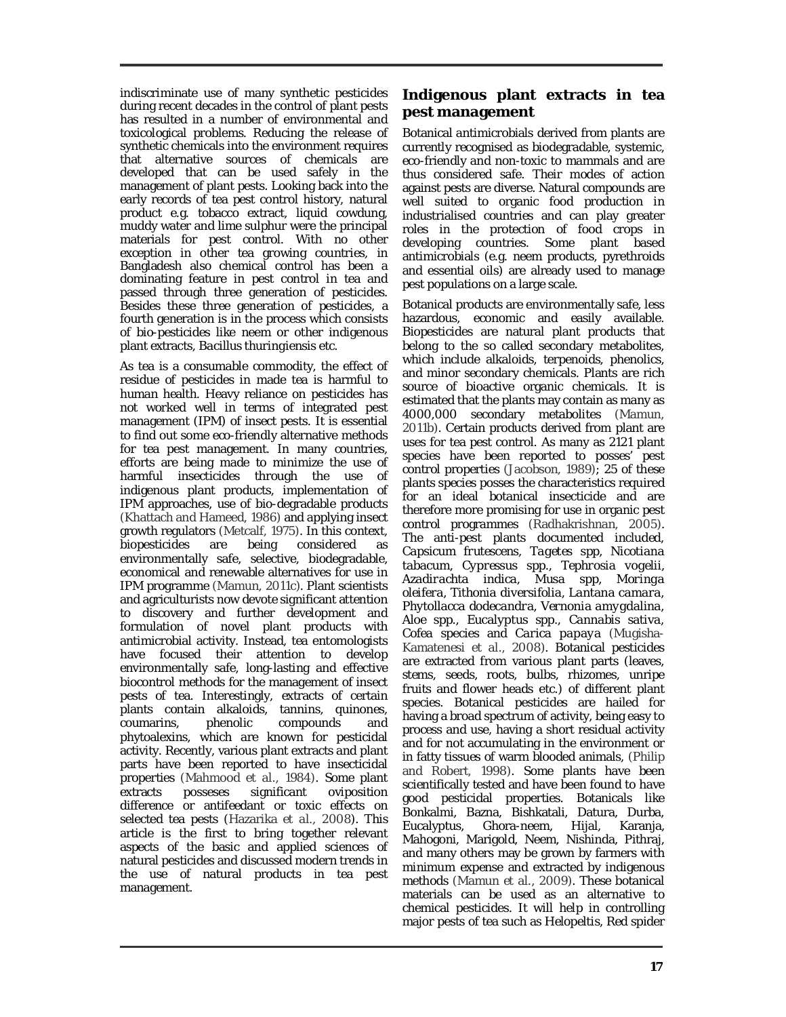indiscriminate use of many synthetic pesticides during recent decades in the control of plant pests has resulted in a number of environmental and toxicological problems. Reducing the release of synthetic chemicals into the environment requires that alternative sources of chemicals are developed that can be used safely in the management of plant pests. Looking back into the early records of tea pest control history, natural product e.g. tobacco extract, liquid cowdung, muddy water and lime sulphur were the principal materials for pest control. With no other exception in other tea growing countries, in Bangladesh also chemical control has been a dominating feature in pest control in tea and passed through three generation of pesticides. Besides these three generation of pesticides, a fourth generation is in the process which consists of bio-pesticides like neem or other indigenous plant extracts, *Bacillus thuringiensis* etc.

As tea is a consumable commodity, the effect of residue of pesticides in made tea is harmful to human health. Heavy reliance on pesticides has not worked well in terms of integrated pest management (IPM) of insect pests. It is essential to find out some eco-friendly alternative methods for tea pest management. In many countries, efforts are being made to minimize the use of harmful insecticides through the use of indigenous plant products, implementation of IPM approaches, use of bio-degradable products (Khattach and Hameed, 1986) and applying insect growth regulators (Metcalf, 1975). In this context, biopesticides are being considered as environmentally safe, selective, biodegradable, economical and renewable alternatives for use in IPM programme (Mamun, 2011c). Plant scientists and agriculturists now devote significant attention to discovery and further development and formulation of novel plant products with antimicrobial activity. Instead, tea entomologists have focused their attention to develop environmentally safe, long-lasting and effective biocontrol methods for the management of insect pests of tea. Interestingly, extracts of certain plants contain alkaloids, tannins, quinones, coumarins, phenolic compounds and phytoalexins, which are known for pesticidal activity. Recently, various plant extracts and plant parts have been reported to have insecticidal properties (Mahmood *et al.*, 1984). Some plant extracts posseses significant oviposition difference or antifeedant or toxic effects on selected tea pests (Hazarika *et al.,* 2008). This article is the first to bring together relevant aspects of the basic and applied sciences of natural pesticides and discussed modern trends in the use of natural products in tea pest management.

# **Indigenous plant extracts in tea pest management**

Botanical antimicrobials derived from plants are currently recognised as biodegradable, systemic, eco-friendly and non-toxic to mammals and are thus considered safe. Their modes of action against pests are diverse. Natural compounds are well suited to organic food production in industrialised countries and can play greater roles in the protection of food crops in developing countries. Some plant based antimicrobials (e.g. neem products, pyrethroids and essential oils) are already used to manage pest populations on a large scale.

Botanical products are environmentally safe, less hazardous, economic and easily available. Biopesticides are natural plant products that belong to the so called secondary metabolites, which include alkaloids, terpenoids, phenolics, and minor secondary chemicals. Plants are rich source of bioactive organic chemicals. It is estimated that the plants may contain as many as 4000,000 secondary metabolites (Mamun, 2011b). Certain products derived from plant are uses for tea pest control. As many as 2121 plant species have been reported to posses' pest control properties (Jacobson, 1989); 25 of these plants species posses the characteristics required for an ideal botanical insecticide and are therefore more promising for use in organic pest control programmes (Radhakrishnan, 2005). The anti-pest plants documented included, *Capsicum frutescens, Tagetes* spp, *Nicotiana tabacum, Cypressus* spp.*, Tephrosia vogelii, Azadirachta indica, Musa* spp, *Moringa oleifera, Tithonia diversifolia, Lantana camara, Phytollacca dodecandra, Vernonia amygdalina, Aloe* spp.*, Eucalyptus* spp.*, Cannabis sativa, Cofea* species and *Carica papaya* (Mugisha-Kamatenesi *et al.*, 2008). Botanical pesticides are extracted from various plant parts (leaves, stems, seeds, roots, bulbs, rhizomes, unripe fruits and flower heads etc.) of different plant species. Botanical pesticides are hailed for having a broad spectrum of activity, being easy to process and use, having a short residual activity and for not accumulating in the environment or in fatty tissues of warm blooded animals, (Philip and Robert, 1998). Some plants have been scientifically tested and have been found to have good pesticidal properties. Botanicals like Bonkalmi, Bazna, Bishkatali, Datura, Durba, Eucalyptus, Ghora-neem, Hijal, Karanja, Mahogoni, Marigold, Neem, Nishinda, Pithraj, and many others may be grown by farmers with minimum expense and extracted by indigenous methods (Mamun *et al.*, 2009). These botanical materials can be used as an alternative to chemical pesticides. It will help in controlling major pests of tea such as *Helopeltis,* Red spider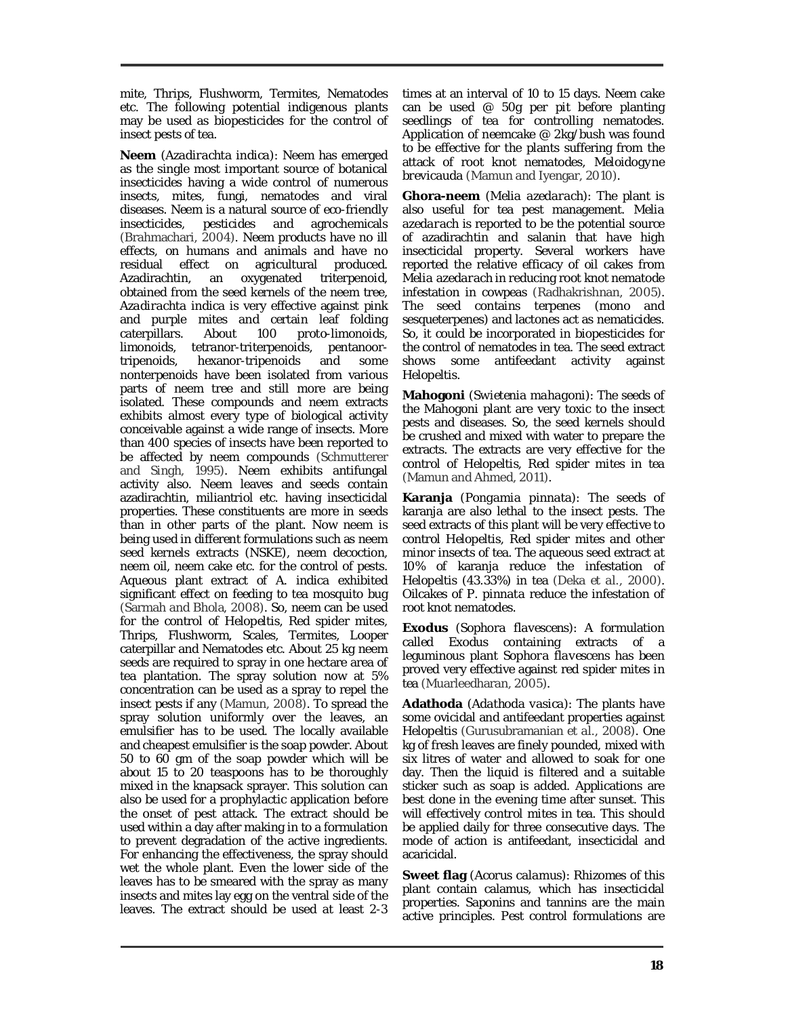mite, Thrips, Flushworm, Termites, Nematodes etc. The following potential indigenous plants may be used as biopesticides for the control of insect pests of tea.

**Neem** (*Azadirachta indica*): Neem has emerged as the single most important source of botanical insecticides having a wide control of numerous insects, mites, fungi, nematodes and viral diseases. Neem is a natural source of eco-friendly insecticides, pesticides and agrochemicals (Brahmachari, 2004). Neem products have no ill effects, on humans and animals and have no residual effect on agricultural produced.<br>Azadirachtin, an oxygenated triterpenoid. an oxygenated triterpenoid, obtained from the seed kernels of the neem tree, *Azadirachta indica* is very effective against pink and purple mites and certain leaf folding caterpillars. About 100 proto-limonoids, limonoids, tetranor-triterpenoids, pentanoortripenoids, hexanor-tripenoids and some nonterpenoids have been isolated from various parts of neem tree and still more are being isolated. These compounds and neem extracts exhibits almost every type of biological activity conceivable against a wide range of insects. More than 400 species of insects have been reported to be affected by neem compounds (Schmutterer and Singh, 1995). Neem exhibits antifungal activity also. Neem leaves and seeds contain azadirachtin, miliantriol etc. having insecticidal properties. These constituents are more in seeds than in other parts of the plant. Now neem is being used in different formulations such as neem seed kernels extracts (NSKE), neem decoction, neem oil, neem cake etc. for the control of pests. Aqueous plant extract of *A. indica* exhibited significant effect on feeding to tea mosquito bug (Sarmah and Bhola, 2008). So, neem can be used for the control of *Helopeltis,* Red spider mites, Thrips, Flushworm, Scales, Termites, Looper caterpillar and Nematodes etc. About 25 kg neem seeds are required to spray in one hectare area of tea plantation. The spray solution now at 5% concentration can be used as a spray to repel the insect pests if any (Mamun, 2008). To spread the spray solution uniformly over the leaves, an emulsifier has to be used. The locally available and cheapest emulsifier is the soap powder. About 50 to 60 gm of the soap powder which will be about 15 to 20 teaspoons has to be thoroughly mixed in the knapsack sprayer. This solution can also be used for a prophylactic application before the onset of pest attack. The extract should be used within a day after making in to a formulation to prevent degradation of the active ingredients. For enhancing the effectiveness, the spray should wet the whole plant. Even the lower side of the leaves has to be smeared with the spray as many insects and mites lay egg on the ventral side of the leaves. The extract should be used at least 2-3

times at an interval of 10 to 15 days. Neem cake can be used  $@$  50g per pit before planting seedlings of tea for controlling nematodes. Application of neemcake @ 2kg/bush was found to be effective for the plants suffering from the attack of root knot nematodes, *Meloidogyne brevicauda* (Mamun and Iyengar, 2010).

**Ghora-neem** (*Melia azedarach*): The plant is also useful for tea pest management. *Melia azedarach* is reported to be the potential source of azadirachtin and salanin that have high insecticidal property. Several workers have reported the relative efficacy of oil cakes from *Melia azedarach* in reducing root knot nematode infestation in cowpeas (Radhakrishnan, 2005). The seed contains terpenes (mono and sesqueterpenes) and lactones act as nematicides. So, it could be incorporated in biopesticides for the control of nematodes in tea. The seed extract shows some antifeedant activity against *Helopeltis.* 

**Mahogoni** (*Swietenia mahagoni*): The seeds of the Mahogoni plant are very toxic to the insect pests and diseases. So, the seed kernels should be crushed and mixed with water to prepare the extracts. The extracts are very effective for the control of *Helopeltis,* Red spider mites in tea (Mamun and Ahmed, 2011).

**Karanja** (*Pongamia pinnata*): The seeds of karanja are also lethal to the insect pests. The seed extracts of this plant will be very effective to control *Helopeltis,* Red spider mites and other minor insects of tea. The aqueous seed extract at 10% of karanja reduce the infestation of *Helopeltis* (43.33%) in tea (Deka *et al.*, 2000). Oilcakes of *P. pinnata* reduce the infestation of root knot nematodes.

**Exodus** (*Sophora flavescens*): A formulation called Exodus containing extracts of a leguminous plant *Sophora flavescens* has been proved very effective against red spider mites in tea (Muarleedharan, 2005).

**Adathoda** (*Adathoda vasica*): The plants have some ovicidal and antifeedant properties against *Helopeltis* (Gurusubramanian *et al.*, 2008)*.* One kg of fresh leaves are finely pounded, mixed with six litres of water and allowed to soak for one day. Then the liquid is filtered and a suitable sticker such as soap is added. Applications are best done in the evening time after sunset. This will effectively control mites in tea. This should be applied daily for three consecutive days. The mode of action is antifeedant, insecticidal and acaricidal.

**Sweet flag** *(Acorus calamus)*: Rhizomes of this plant contain calamus, which has insecticidal properties. Saponins and tannins are the main active principles. Pest control formulations are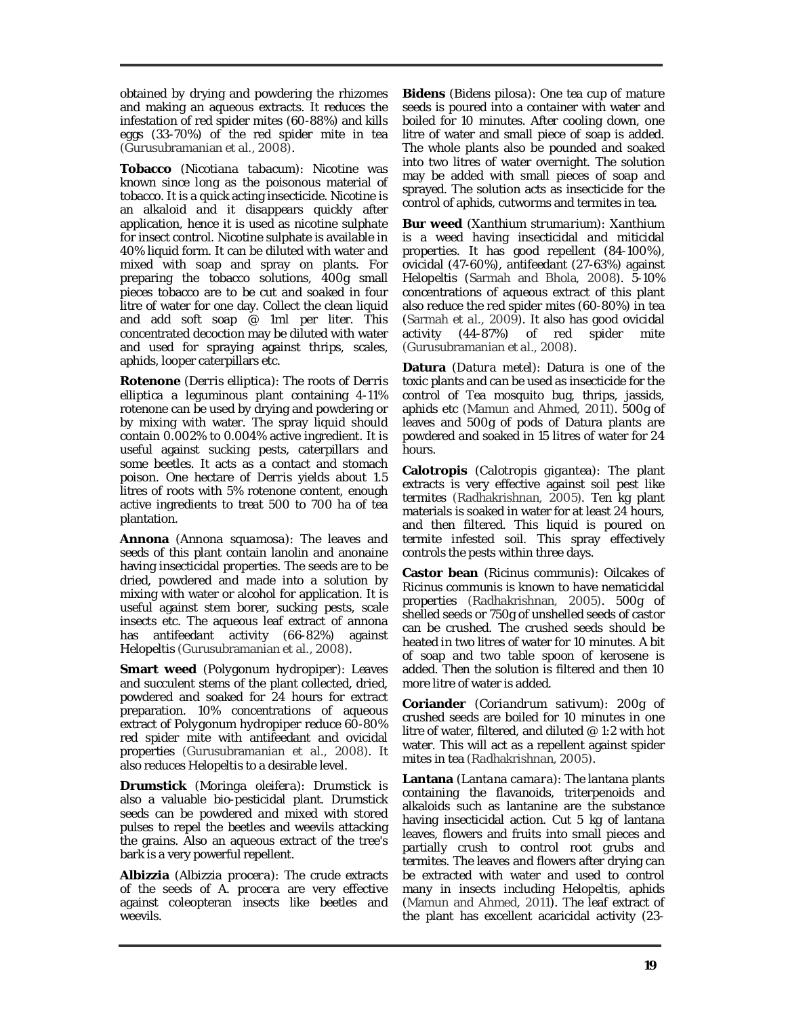obtained by drying and powdering the rhizomes and making an aqueous extracts. It reduces the infestation of red spider mites (60-88%) and kills eggs (33-70%) of the red spider mite in tea (Gurusubramanian *et al.*, 2008).

**Tobacco** (*Nicotiana tabacum*): Nicotine was known since long as the poisonous material of tobacco. It is a quick acting insecticide. Nicotine is an alkaloid and it disappears quickly after application, hence it is used as nicotine sulphate for insect control. Nicotine sulphate is available in 40% liquid form. It can be diluted with water and mixed with soap and spray on plants. For preparing the tobacco solutions, 400g small pieces tobacco are to be cut and soaked in four litre of water for one day. Collect the clean liquid and add soft soap  $\overline{\textcircled{\circ}}$  1ml per liter. This concentrated decoction may be diluted with water and used for spraying against thrips, scales, aphids, looper caterpillars etc.

**Rotenone** (*Derris elliptica*): The roots of *Derris elliptica* a leguminous plant containing 4-11% rotenone can be used by drying and powdering or by mixing with water. The spray liquid should contain 0.002% to 0.004% active ingredient. It is useful against sucking pests, caterpillars and some beetles. It acts as a contact and stomach poison. One hectare of *Derris* yields about 1.5 litres of roots with 5% rotenone content, enough active ingredients to treat 500 to 700 ha of tea plantation.

**Annona** (*Annona squamosa*): The leaves and seeds of this plant contain lanolin and anonaine having insecticidal properties. The seeds are to be dried, powdered and made into a solution by mixing with water or alcohol for application. It is useful against stem borer, sucking pests, scale insects etc. The aqueous leaf extract of annona has antifeedant activity (66-82%) against *Helopeltis* (Gurusubramanian *et al.*, 2008)*.*

**Smart weed** (*Polygonum hydropiper*): Leaves and succulent stems of the plant collected, dried, powdered and soaked for 24 hours for extract preparation. 10% concentrations of aqueous extract of *Polygonum hydropiper* reduce 60-80% red spider mite with antifeedant and ovicidal properties (Gurusubramanian *et al.*, 2008). It also reduces *Helopeltis* to a desirable level.

**Drumstick** *(Moringa oleifera)*: Drumstick is also a valuable bio-pesticidal plant. Drumstick seeds can be powdered and mixed with stored pulses to repel the beetles and weevils attacking the grains. Also an aqueous extract of the tree's bark is a very powerful repellent.

**Albizzia** *(Albizzia procera)*: The crude extracts of the seeds of *A. procera* are very effective against coleopteran insects like beetles and weevils.

**Bidens** *(Bidens pilosa)*: One tea cup of mature seeds is poured into a container with water and boiled for 10 minutes. After cooling down, one litre of water and small piece of soap is added. The whole plants also be pounded and soaked into two litres of water overnight. The solution may be added with small pieces of soap and sprayed. The solution acts as insecticide for the control of aphids, cutworms and termites in tea.

**Bur weed** *(Xanthium strumarium)*: *Xanthium* is a weed having insecticidal and miticidal properties. It has good repellent (84-100%), ovicidal (47-60%), antifeedant (27-63%) against *Helopeltis* (Sarmah and Bhola, 2008)*.* 5-10% concentrations of aqueous extract of this plant also reduce the red spider mites (60-80%) in tea (Sarmah *et al.,* 2009). It also has good ovicidal activity (44-87%) of red spider mite (Gurusubramanian *et al.*, 2008).

**Datura** (*Datura metel*): Datura is one of the toxic plants and can be used as insecticide for the control of Tea mosquito bug, thrips, jassids, aphids etc (Mamun and Ahmed, 2011). 500g of leaves and 500g of pods of Datura plants are powdered and soaked in 15 litres of water for 24 hours.

**Calotropis** *(Calotropis gigantea)*: The plant extracts is very effective against soil pest like termites (Radhakrishnan, 2005). Ten kg plant materials is soaked in water for at least 24 hours, and then filtered. This liquid is poured on termite infested soil. This spray effectively controls the pests within three days.

**Castor bean** *(Ricinus communis)*: Oilcakes of *Ricinus communis* is known to have nematicidal properties (Radhakrishnan, 2005). 500g of shelled seeds or 750g of unshelled seeds of castor can be crushed. The crushed seeds should be heated in two litres of water for 10 minutes. A bit of soap and two table spoon of kerosene is added. Then the solution is filtered and then 10 more litre of water is added.

**Coriander** *(Coriandrum sativum)*: 200g of crushed seeds are boiled for 10 minutes in one litre of water, filtered, and diluted @ 1:2 with hot water. This will act as a repellent against spider mites in tea (Radhakrishnan, 2005).

**Lantana** *(Lantana camara)*: The lantana plants containing the flavanoids, triterpenoids and alkaloids such as lantanine are the substance having insecticidal action. Cut 5 kg of lantana leaves, flowers and fruits into small pieces and partially crush to control root grubs and termites. The leaves and flowers after drying can be extracted with water and used to control many in insects including *Helopeltis,* aphids (Mamun and Ahmed, 2011). The leaf extract of the plant has excellent acaricidal activity (23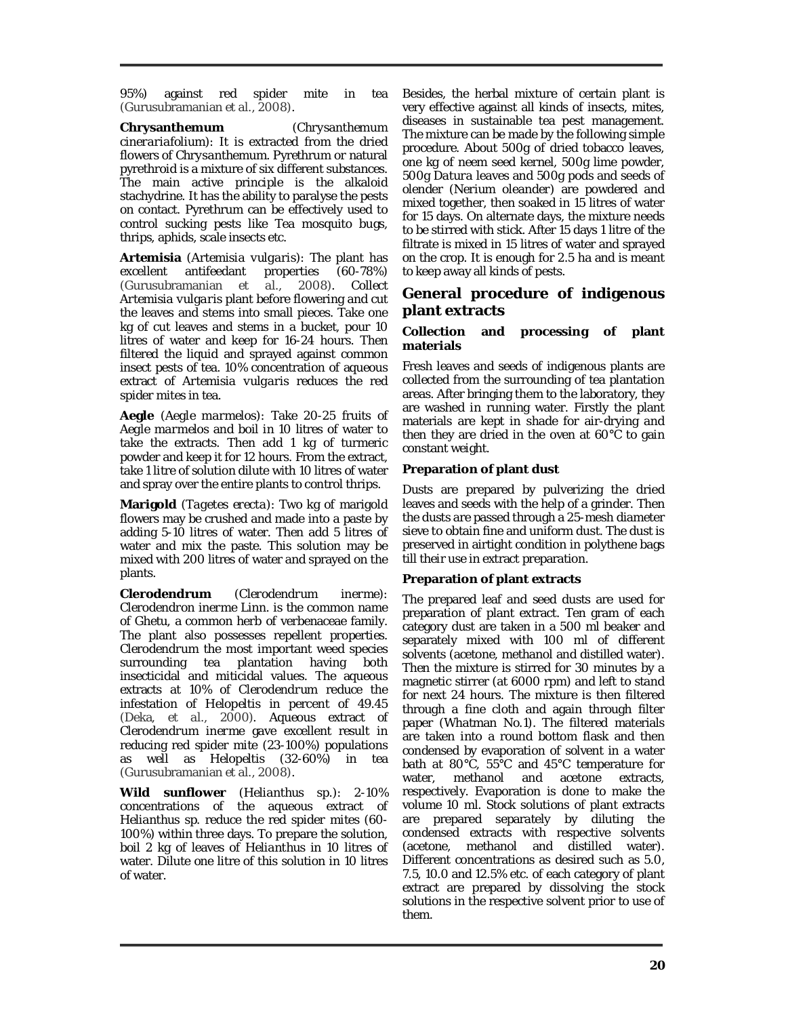95%) against red spider mite in tea (Gurusubramanian *et al.*, 2008).

**Chrysanthemum** *(Chrysanthemum cinerariafolium)*: It is extracted from the dried flowers of *Chrysanthemum.* Pyrethrum or natural pyrethroid is a mixture of six different substances. The main active principle is the alkaloid stachydrine. It has the ability to paralyse the pests on contact. Pyrethrum can be effectively used to control sucking pests like Tea mosquito bugs, thrips, aphids, scale insects etc.

**Artemisia** *(Artemisia vulgaris)*: The plant has excellent antifeedant properties (60-78%)<br>(Gurusubramanian et al., 2008). Collect et al., 2008). Collect *Artemisia vulgaris* plant before flowering and cut the leaves and stems into small pieces. Take one kg of cut leaves and stems in a bucket, pour 10 litres of water and keep for 16-24 hours. Then filtered the liquid and sprayed against common insect pests of tea. 10% concentration of aqueous extract of *Artemisia vulgaris* reduces the red spider mites in tea.

**Aegle** *(Aegle marmelos)*: Take 20-25 fruits of *Aegle marmelos* and boil in 10 litres of water to take the extracts. Then add 1 kg of turmeric powder and keep it for 12 hours. From the extract, take 1 litre of solution dilute with 10 litres of water and spray over the entire plants to control thrips.

**Marigold** (*Tagetes erecta*): Two kg of marigold flowers may be crushed and made into a paste by adding 5-10 litres of water. Then add 5 litres of water and mix the paste. This solution may be mixed with 200 litres of water and sprayed on the plants.

**Clerodendrum** (*Clerodendrum inerme*): *Clerodendron inerme* Linn. is the common name of Ghetu, a common herb of verbenaceae family. The plant also possesses repellent properties. *Clerodendrum* the most important weed species surrounding tea plantation having both insecticidal and miticidal values. The aqueous extracts at 10% of *Clerodendrum* reduce the infestation of *Helopeltis* in percent of 49.45 (Deka, *et al.*, 2000). Aqueous extract of *Clerodendrum inerme* gave excellent result in reducing red spider mite (23-100%) populations as well as *Helopeltis* (32-60%) in tea (Gurusubramanian *et al.*, 2008).

**Wild sunflower** (*Helianthus* sp.): 2-10% concentrations of the aqueous extract of *Helianthus* sp. reduce the red spider mites (60- 100%) within three days. To prepare the solution, boil 2 kg of leaves of *Helianthus* in 10 litres of water. Dilute one litre of this solution in 10 litres of water.

Besides, the herbal mixture of certain plant is very effective against all kinds of insects, mites, diseases in sustainable tea pest management. The mixture can be made by the following simple procedure. About 500g of dried tobacco leaves, one kg of neem seed kernel, 500g lime powder, 500g *Datura* leaves and 500g pods and seeds of olender (*Nerium oleander*) are powdered and mixed together, then soaked in 15 litres of water for 15 days. On alternate days, the mixture needs to be stirred with stick. After 15 days 1 litre of the filtrate is mixed in 15 litres of water and sprayed on the crop. It is enough for 2.5 ha and is meant to keep away all kinds of pests.

## **General procedure of indigenous plant extracts**

### **Collection and processing of plant materials**

Fresh leaves and seeds of indigenous plants are collected from the surrounding of tea plantation areas. After bringing them to the laboratory, they are washed in running water. Firstly the plant materials are kept in shade for air-drying and then they are dried in the oven at 60°C to gain constant weight.

### **Preparation of plant dust**

Dusts are prepared by pulverizing the dried leaves and seeds with the help of a grinder. Then the dusts are passed through a 25-mesh diameter sieve to obtain fine and uniform dust. The dust is preserved in airtight condition in polythene bags till their use in extract preparation.

### **Preparation of plant extracts**

The prepared leaf and seed dusts are used for preparation of plant extract. Ten gram of each category dust are taken in a 500 ml beaker and separately mixed with 100 ml of different solvents (acetone, methanol and distilled water). Then the mixture is stirred for 30 minutes by a magnetic stirrer (at 6000 rpm) and left to stand for next 24 hours. The mixture is then filtered through a fine cloth and again through filter paper (Whatman No.1). The filtered materials are taken into a round bottom flask and then condensed by evaporation of solvent in a water bath at 80°C, 55°C and 45°C temperature for water, methanol and acetone extracts, respectively. Evaporation is done to make the volume 10 ml. Stock solutions of plant extracts are prepared separately by diluting the condensed extracts with respective solvents (acetone, methanol and distilled water). Different concentrations as desired such as 5.0, 7.5, 10.0 and 12.5% etc. of each category of plant extract are prepared by dissolving the stock solutions in the respective solvent prior to use of them.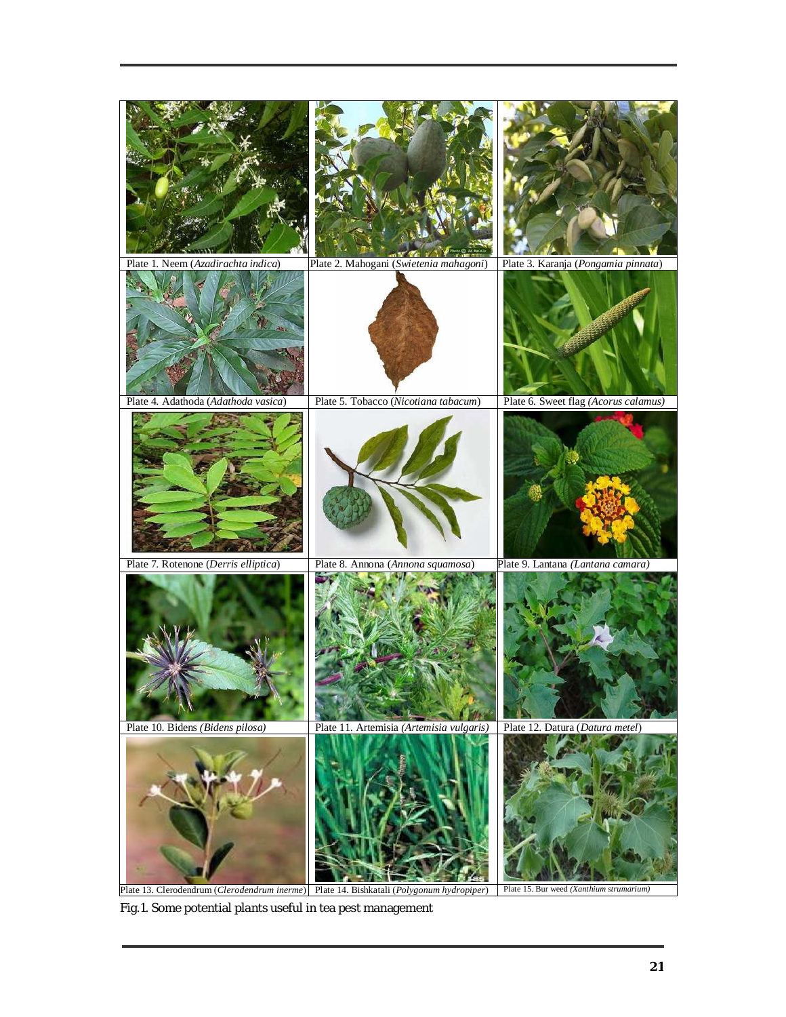

Fig.1. Some potential plants useful in tea pest management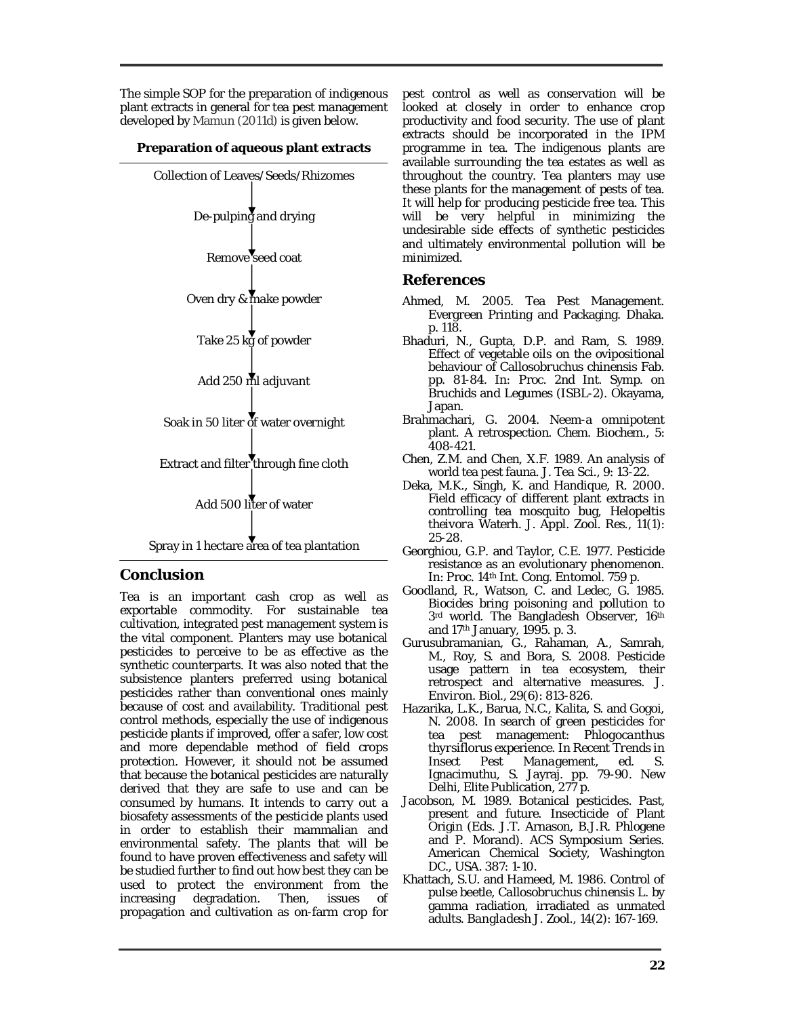The simple SOP for the preparation of indigenous plant extracts in general for tea pest management developed by Mamun (2011d) is given below.

### **Preparation of aqueous plant extracts**



# **Conclusion**

Tea is an important cash crop as well as exportable commodity. For sustainable tea cultivation, integrated pest management system is the vital component. Planters may use botanical pesticides to perceive to be as effective as the synthetic counterparts. It was also noted that the subsistence planters preferred using botanical pesticides rather than conventional ones mainly because of cost and availability. Traditional pest control methods, especially the use of indigenous pesticide plants if improved, offer a safer, low cost and more dependable method of field crops protection. However, it should not be assumed that because the botanical pesticides are naturally derived that they are safe to use and can be consumed by humans. It intends to carry out a biosafety assessments of the pesticide plants used in order to establish their mammalian and environmental safety. The plants that will be found to have proven effectiveness and safety will be studied further to find out how best they can be used to protect the environment from the increasing degradation. Then, issues of increasing degradation. Then, issues of propagation and cultivation as on-farm crop for

pest control as well as conservation will be looked at closely in order to enhance crop productivity and food security. The use of plant extracts should be incorporated in the IPM programme in tea. The indigenous plants are available surrounding the tea estates as well as throughout the country. Tea planters may use these plants for the management of pests of tea. It will help for producing pesticide free tea. This will be very helpful in minimizing the undesirable side effects of synthetic pesticides and ultimately environmental pollution will be minimized.

## **References**

- Ahmed, M. 2005. Tea Pest Management. Evergreen Printing and Packaging. Dhaka. p. 118.
- Bhaduri, N., Gupta, D.P. and Ram, S. 1989. Effect of vegetable oils on the ovipositional behaviour of *Callosobruchus chinensis* Fab. pp. 81-84. *In:* Proc. 2nd Int. Symp. on Bruchids and Legumes (ISBL-2). Okayama, Japan.
- Brahmachari, G. 2004. Neem-a omnipotent plant. A retrospection. *Chem. Biochem.,* 5: 408-421.
- Chen, Z.M. and Chen, X.F. 1989. An analysis of world tea pest fauna. *J. Tea Sci.,* 9: 13-22.
- Deka, M.K., Singh, K. and Handique, R. 2000. Field efficacy of different plant extracts in controlling tea mosquito bug, *Helopeltis theivora* Waterh. *J. Appl. Zool. Res.,* 11(1): 25-28.
- Georghiou, G.P. and Taylor, C.E. 1977. Pesticide resistance as an evolutionary phenomenon. *In*: Proc. 14th Int. Cong. Entomol. 759 p.
- Goodland, R., Watson, C. and Ledec, G. 1985. Biocides bring poisoning and pollution to 3rd world. The Bangladesh Observer, 16th and 17th January, 1995. p. 3.
- Gurusubramanian, G., Rahaman, A., Samrah, M., Roy, S. and Bora, S. 2008. Pesticide usage pattern in tea ecosystem, their retrospect and alternative measures. *J. Environ. Biol.,* 29(6): 813-826.
- Hazarika, L.K., Barua, N.C., Kalita, S. and Gogoi, N. 2008. In search of green pesticides for tea pest management: *Phlogocanthus thyrsiflorus* experience. In *Recent Trends in Insect Pest Management,* ed. S. Ignacimuthu, S. Jayraj. pp. 79-90. New Delhi, Elite Publication, 277 p.
- Jacobson, M. 1989. Botanical pesticides. Past, present and future. Insecticide of Plant Origin (*Eds.* J.T. Arnason, B.J.R. Phlogene and P. Morand). ACS Symposium Series. American Chemical Society, Washington DC., USA. 387: 1-10.
- Khattach, S.U. and Hameed, M. 1986. Control of pulse beetle, *Callosobruchus chinensis* L. by gamma radiation, irradiated as unmated adults. *Bangladesh J. Zool.,* 14(2): 167-169.